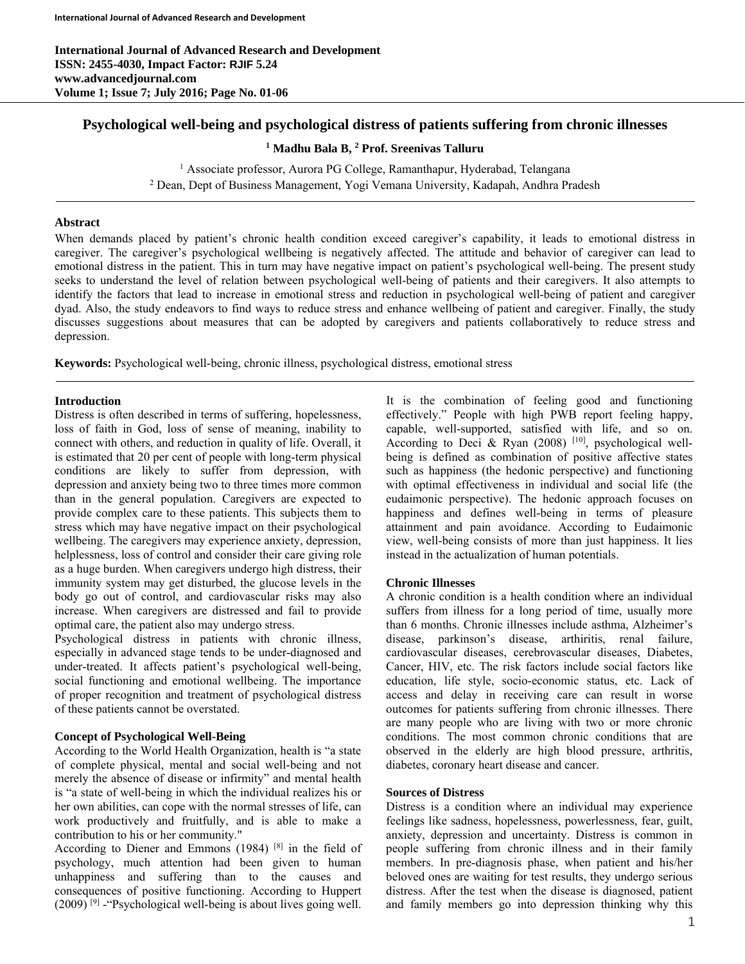# **Psychological well-being and psychological distress of patients suffering from chronic illnesses**

<sup>1</sup> Madhu Bala B, <sup>2</sup> Prof. Sreenivas Talluru

<sup>1</sup> Associate professor, Aurora PG College, Ramanthapur, Hyderabad, Telangana<br><sup>2</sup> Dean, Dept of Business Management, Nogi Vemana University, Kadanah, Andhra Pr Dean, Dept of Business Management, Yogi Vemana University, Kadapah, Andhra Pradesh

### **Abstract**

When demands placed by patient's chronic health condition exceed caregiver's capability, it leads to emotional distress in caregiver. The caregiver's psychological wellbeing is negatively affected. The attitude and behavior of caregiver can lead to emotional distress in the patient. This in turn may have negative impact on patient's psychological well-being. The present study seeks to understand the level of relation between psychological well-being of patients and their caregivers. It also attempts to identify the factors that lead to increase in emotional stress and reduction in psychological well-being of patient and caregiver dyad. Also, the study endeavors to find ways to reduce stress and enhance wellbeing of patient and caregiver. Finally, the study discusses suggestions about measures that can be adopted by caregivers and patients collaboratively to reduce stress and depression.

**Keywords:** Psychological well-being, chronic illness, psychological distress, emotional stress

# **Introduction**

Distress is often described in terms of suffering, hopelessness, loss of faith in God, loss of sense of meaning, inability to connect with others, and reduction in quality of life. Overall, it is estimated that 20 per cent of people with long-term physical conditions are likely to suffer from depression, with depression and anxiety being two to three times more common than in the general population. Caregivers are expected to provide complex care to these patients. This subjects them to stress which may have negative impact on their psychological wellbeing. The caregivers may experience anxiety, depression, helplessness, loss of control and consider their care giving role as a huge burden. When caregivers undergo high distress, their immunity system may get disturbed, the glucose levels in the body go out of control, and cardiovascular risks may also increase. When caregivers are distressed and fail to provide optimal care, the patient also may undergo stress.

Psychological distress in patients with chronic illness, especially in advanced stage tends to be under-diagnosed and under-treated. It affects patient's psychological well-being, social functioning and emotional wellbeing. The importance of proper recognition and treatment of psychological distress of these patients cannot be overstated.

# **Concept of Psychological Well-Being**

According to the World Health Organization, health is "a state of complete physical, mental and social well-being and not merely the absence of disease or infirmity" and mental health is "a state of well-being in which the individual realizes his or her own abilities, can cope with the normal stresses of life, can work productively and fruitfully, and is able to make a contribution to his or her community."

According to Diener and Emmons  $(1984)$ <sup>[8]</sup> in the field of psychology, much attention had been given to human unhappiness and suffering than to the causes and consequences of positive functioning. According to Huppert  $(2009)$ <sup>[9]</sup> - "Psychological well-being is about lives going well.

It is the combination of feeling good and functioning effectively." People with high PWB report feeling happy, capable, well-supported, satisfied with life, and so on. According to Deci & Ryan (2008)  $[10]$ , psychological wellbeing is defined as combination of positive affective states such as happiness (the hedonic perspective) and functioning with optimal effectiveness in individual and social life (the eudaimonic perspective). The hedonic approach focuses on happiness and defines well-being in terms of pleasure attainment and pain avoidance. According to Eudaimonic view, well-being consists of more than just happiness. It lies instead in the actualization of human potentials.

# **Chronic Illnesses**

A chronic condition is a health condition where an individual suffers from illness for a long period of time, usually more than 6 months. Chronic illnesses include asthma, Alzheimer's disease, parkinson's disease, arthiritis, renal failure, cardiovascular diseases, cerebrovascular diseases, Diabetes, Cancer, HIV, etc. The risk factors include social factors like education, life style, socio-economic status, etc. Lack of access and delay in receiving care can result in worse outcomes for patients suffering from chronic illnesses. There are many people who are living with two or more chronic conditions. The most common chronic conditions that are observed in the elderly are high blood pressure, arthritis, diabetes, coronary heart disease and cancer.

# **Sources of Distress**

Distress is a condition where an individual may experience feelings like sadness, hopelessness, powerlessness, fear, guilt, anxiety, depression and uncertainty. Distress is common in people suffering from chronic illness and in their family members. In pre-diagnosis phase, when patient and his/her beloved ones are waiting for test results, they undergo serious distress. After the test when the disease is diagnosed, patient and family members go into depression thinking why this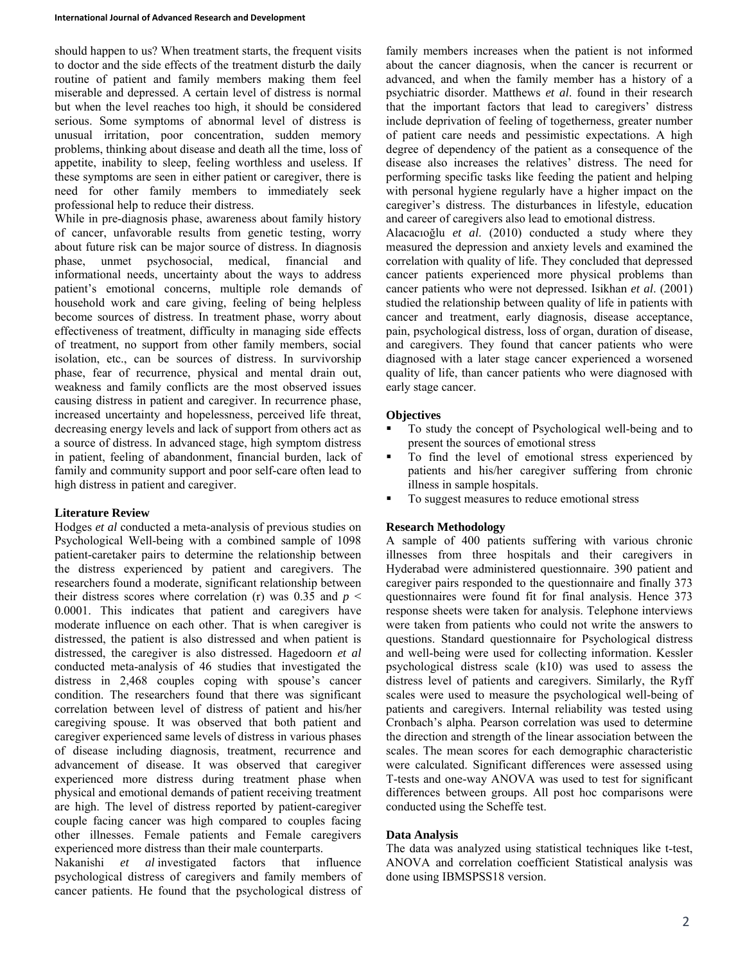should happen to us? When treatment starts, the frequent visits to doctor and the side effects of the treatment disturb the daily routine of patient and family members making them feel miserable and depressed. A certain level of distress is normal but when the level reaches too high, it should be considered serious. Some symptoms of abnormal level of distress is unusual irritation, poor concentration, sudden memory problems, thinking about disease and death all the time, loss of appetite, inability to sleep, feeling worthless and useless. If these symptoms are seen in either patient or caregiver, there is need for other family members to immediately seek professional help to reduce their distress.

While in pre-diagnosis phase, awareness about family history of cancer, unfavorable results from genetic testing, worry about future risk can be major source of distress. In diagnosis phase, unmet psychosocial, medical, financial and informational needs, uncertainty about the ways to address patient's emotional concerns, multiple role demands of household work and care giving, feeling of being helpless become sources of distress. In treatment phase, worry about effectiveness of treatment, difficulty in managing side effects of treatment, no support from other family members, social isolation, etc., can be sources of distress. In survivorship phase, fear of recurrence, physical and mental drain out, weakness and family conflicts are the most observed issues causing distress in patient and caregiver. In recurrence phase, increased uncertainty and hopelessness, perceived life threat, decreasing energy levels and lack of support from others act as a source of distress. In advanced stage, high symptom distress in patient, feeling of abandonment, financial burden, lack of family and community support and poor self-care often lead to high distress in patient and caregiver.

# **Literature Review**

Hodges *et al* conducted a meta-analysis of previous studies on Psychological Well-being with a combined sample of 1098 patient-caretaker pairs to determine the relationship between the distress experienced by patient and caregivers. The researchers found a moderate, significant relationship between their distress scores where correlation (r) was 0.35 and  $p \leq$ 0.0001. This indicates that patient and caregivers have moderate influence on each other. That is when caregiver is distressed, the patient is also distressed and when patient is distressed, the caregiver is also distressed. Hagedoorn *et al* conducted meta-analysis of 46 studies that investigated the distress in 2,468 couples coping with spouse's cancer condition. The researchers found that there was significant correlation between level of distress of patient and his/her caregiving spouse. It was observed that both patient and caregiver experienced same levels of distress in various phases of disease including diagnosis, treatment, recurrence and advancement of disease. It was observed that caregiver experienced more distress during treatment phase when physical and emotional demands of patient receiving treatment are high. The level of distress reported by patient-caregiver couple facing cancer was high compared to couples facing other illnesses. Female patients and Female caregivers experienced more distress than their male counterparts.

Nakanishi *et al* investigated factors that influence psychological distress of caregivers and family members of cancer patients. He found that the psychological distress of

family members increases when the patient is not informed about the cancer diagnosis, when the cancer is recurrent or advanced, and when the family member has a history of a psychiatric disorder. Matthews *et al*. found in their research that the important factors that lead to caregivers' distress include deprivation of feeling of togetherness, greater number of patient care needs and pessimistic expectations. A high degree of dependency of the patient as a consequence of the disease also increases the relatives' distress. The need for performing specific tasks like feeding the patient and helping with personal hygiene regularly have a higher impact on the caregiver's distress. The disturbances in lifestyle, education and career of caregivers also lead to emotional distress.

Alacacıoğlu *et al*. (2010) conducted a study where they measured the depression and anxiety levels and examined the correlation with quality of life. They concluded that depressed cancer patients experienced more physical problems than cancer patients who were not depressed. Isikhan *et al*. (2001) studied the relationship between quality of life in patients with cancer and treatment, early diagnosis, disease acceptance, pain, psychological distress, loss of organ, duration of disease, and caregivers. They found that cancer patients who were diagnosed with a later stage cancer experienced a worsened quality of life, than cancer patients who were diagnosed with early stage cancer.

# **Objectives**

- To study the concept of Psychological well-being and to present the sources of emotional stress
- To find the level of emotional stress experienced by patients and his/her caregiver suffering from chronic illness in sample hospitals.
- To suggest measures to reduce emotional stress

# **Research Methodology**

A sample of 400 patients suffering with various chronic illnesses from three hospitals and their caregivers in Hyderabad were administered questionnaire. 390 patient and caregiver pairs responded to the questionnaire and finally 373 questionnaires were found fit for final analysis. Hence 373 response sheets were taken for analysis. Telephone interviews were taken from patients who could not write the answers to questions. Standard questionnaire for Psychological distress and well-being were used for collecting information. Kessler psychological distress scale (k10) was used to assess the distress level of patients and caregivers. Similarly, the Ryff scales were used to measure the psychological well-being of patients and caregivers. Internal reliability was tested using Cronbach's alpha. Pearson correlation was used to determine the direction and strength of the linear association between the scales. The mean scores for each demographic characteristic were calculated. Significant differences were assessed using T-tests and one-way ANOVA was used to test for significant differences between groups. All post hoc comparisons were conducted using the Scheffe test.

# **Data Analysis**

The data was analyzed using statistical techniques like t-test, ANOVA and correlation coefficient Statistical analysis was done using IBMSPSS18 version.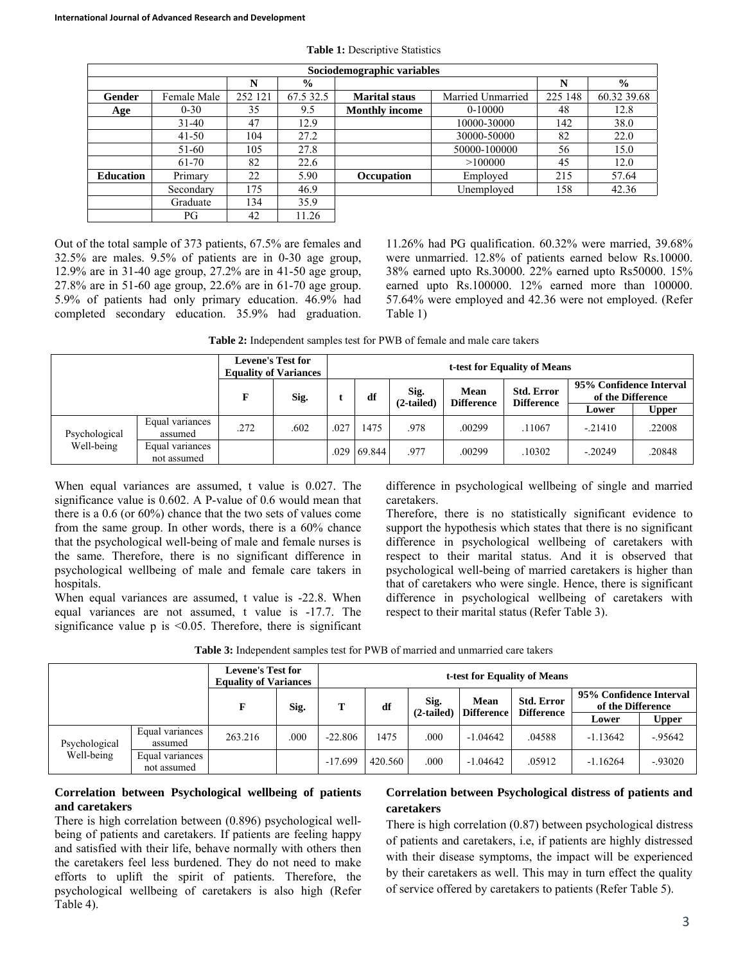| Sociodemographic variables |             |         |               |                       |                   |         |               |  |
|----------------------------|-------------|---------|---------------|-----------------------|-------------------|---------|---------------|--|
|                            |             | N       | $\frac{0}{0}$ |                       |                   | N       | $\frac{0}{0}$ |  |
| Gender                     | Female Male | 252 121 | 67.5 32.5     | <b>Marital staus</b>  | Married Unmarried | 225 148 | 60.32 39.68   |  |
| Age                        | $0 - 30$    | 35      | 9.5           | <b>Monthly income</b> | $0-10000$         | 48      | 12.8          |  |
|                            | $31 - 40$   | 47      | 12.9          |                       | 10000-30000       | 142     | 38.0          |  |
|                            | $41 - 50$   | 104     | 27.2          |                       | 30000-50000       | 82      | 22.0          |  |
|                            | 51-60       | 105     | 27.8          |                       | 50000-100000      | 56      | 15.0          |  |
|                            | 61-70       | 82      | 22.6          |                       | >100000           | 45      | 12.0          |  |
| <b>Education</b>           | Primary     | 22      | 5.90          | <b>Occupation</b>     | Employed          | 215     | 57.64         |  |
|                            | Secondary   | 175     | 46.9          |                       | Unemployed        | 158     | 42.36         |  |
|                            | Graduate    | 134     | 35.9          |                       |                   |         |               |  |
|                            | РG          | 42      | 11.26         |                       |                   |         |               |  |

**Table 1:** Descriptive Statistics

Out of the total sample of 373 patients, 67.5% are females and 32.5% are males. 9.5% of patients are in 0-30 age group, 12.9% are in 31-40 age group, 27.2% are in 41-50 age group, 27.8% are in 51-60 age group, 22.6% are in 61-70 age group. 5.9% of patients had only primary education. 46.9% had completed secondary education. 35.9% had graduation.

11.26% had PG qualification. 60.32% were married, 39.68% were unmarried. 12.8% of patients earned below Rs.10000. 38% earned upto Rs.30000. 22% earned upto Rs50000. 15% earned upto Rs.100000. 12% earned more than 100000. 57.64% were employed and 42.36 were not employed. (Refer Table 1)

**Table 2:** Independent samples test for PWB of female and male care takers

|               |                                | <b>Levene's Test for</b><br><b>Equality of Variances</b> |      | t-test for Equality of Means |                    |                                                                     |        |                                              |           |        |  |
|---------------|--------------------------------|----------------------------------------------------------|------|------------------------------|--------------------|---------------------------------------------------------------------|--------|----------------------------------------------|-----------|--------|--|
|               |                                | F                                                        | Sig. | Sig.<br>df<br>$(2-tailed)$   |                    | <b>Std. Error</b><br>Mean<br><b>Difference</b><br><b>Difference</b> |        | 95% Confidence Interval<br>of the Difference |           |        |  |
|               |                                |                                                          |      |                              |                    |                                                                     |        |                                              | Lower     | Upper  |  |
| Psychological | Equal variances<br>assumed     | .272                                                     | .602 | .027                         | 1475               | .978                                                                | .00299 | .11067                                       | $-21410$  | .22008 |  |
| Well-being    | Equal variances<br>not assumed |                                                          |      |                              | $.029 \mid 69.844$ | .977                                                                | .00299 | .10302                                       | $-.20249$ | .20848 |  |

When equal variances are assumed, t value is 0.027. The significance value is 0.602. A P-value of 0.6 would mean that there is a 0.6 (or 60%) chance that the two sets of values come from the same group. In other words, there is a 60% chance that the psychological well-being of male and female nurses is the same. Therefore, there is no significant difference in psychological wellbeing of male and female care takers in hospitals.

When equal variances are assumed, t value is -22.8. When equal variances are not assumed, t value is -17.7. The significance value  $p$  is  $\leq 0.05$ . Therefore, there is significant difference in psychological wellbeing of single and married caretakers.

Therefore, there is no statistically significant evidence to support the hypothesis which states that there is no significant difference in psychological wellbeing of caretakers with respect to their marital status. And it is observed that psychological well-being of married caretakers is higher than that of caretakers who were single. Hence, there is significant difference in psychological wellbeing of caretakers with respect to their marital status (Refer Table 3).

|                             |                                | <b>Levene's Test for</b><br><b>Equality of Variances</b> |      | t-test for Equality of Means |         |                      |                           |                                        |                                              |              |  |
|-----------------------------|--------------------------------|----------------------------------------------------------|------|------------------------------|---------|----------------------|---------------------------|----------------------------------------|----------------------------------------------|--------------|--|
|                             |                                | F                                                        | Sig. | т<br>df                      |         | Sig.<br>$(2-tailed)$ | Mean<br><b>Difference</b> | <b>Std. Error</b><br><b>Difference</b> | 95% Confidence Interval<br>of the Difference |              |  |
|                             |                                |                                                          |      |                              |         |                      |                           |                                        | Lower                                        | <b>Upper</b> |  |
| Psychological<br>Well-being | Equal variances<br>assumed     | 263.216                                                  | .000 | $-22.806$                    | 1475    | .000                 | $-1.04642$                | .04588                                 | $-1.13642$                                   | $-95642$     |  |
|                             | Equal variances<br>not assumed |                                                          |      | $-17.699$                    | 420.560 | .000                 | $-1.04642$                | .05912                                 | $-1.16264$                                   | $-.93020$    |  |

### **Correlation between Psychological wellbeing of patients and caretakers**

There is high correlation between (0.896) psychological wellbeing of patients and caretakers. If patients are feeling happy and satisfied with their life, behave normally with others then the caretakers feel less burdened. They do not need to make efforts to uplift the spirit of patients. Therefore, the psychological wellbeing of caretakers is also high (Refer Table 4).

# **Correlation between Psychological distress of patients and caretakers**

There is high correlation (0.87) between psychological distress of patients and caretakers, i.e, if patients are highly distressed with their disease symptoms, the impact will be experienced by their caretakers as well. This may in turn effect the quality of service offered by caretakers to patients (Refer Table 5).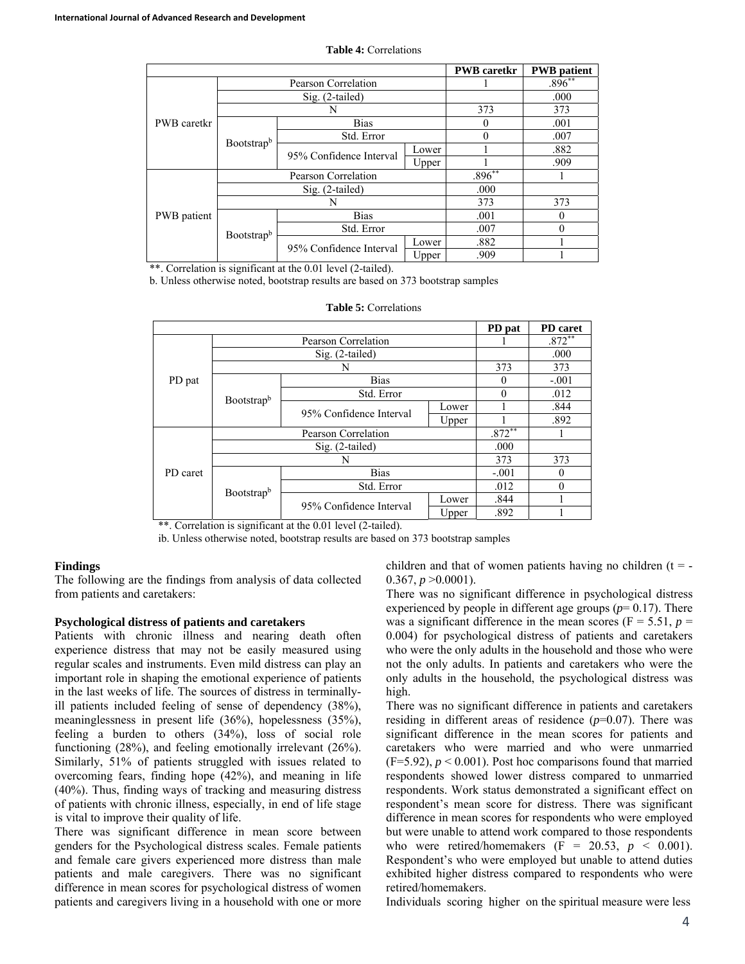|             |            |                         |           | <b>PWB</b> caretkr | <b>PWB</b> patient |
|-------------|------------|-------------------------|-----------|--------------------|--------------------|
|             |            | Pearson Correlation     |           | $.896**$           |                    |
|             |            | Sig. (2-tailed)         |           | .000               |                    |
|             |            | N                       | 373       | 373                |                    |
| PWB caretkr |            | <b>Bias</b>             | $\theta$  | .001               |                    |
|             | Bootstrapb | Std. Error              | 0         | .007               |                    |
|             |            | 95% Confidence Interval | Lower     |                    | .882               |
|             |            |                         | Upper     |                    | .909               |
|             |            | Pearson Correlation     | $.896***$ |                    |                    |
| PWB patient |            | Sig. (2-tailed)         | .000      |                    |                    |
|             |            |                         | 373       | 373                |                    |
|             | Bootstrapb | <b>Bias</b>             | .001      |                    |                    |
|             |            | Std. Error              | .007      |                    |                    |
|             |            | 95% Confidence Interval | Lower     | .882               |                    |
|             |            |                         | Upper     | .909               |                    |

**Table 4:** Correlations

\*\*. Correlation is significant at the 0.01 level (2-tailed).

b. Unless otherwise noted, bootstrap results are based on 373 bootstrap samples

|          |            |                         |          | PD pat   | PD caret |
|----------|------------|-------------------------|----------|----------|----------|
|          |            |                         | $.872**$ |          |          |
|          |            |                         | .000     |          |          |
|          |            | 373                     | 373      |          |          |
| PD pat   |            | 0                       | $-.001$  |          |          |
|          | Bootstrapb | Std. Error              | 0        | .012     |          |
|          |            | 95% Confidence Interval | Lower    |          | .844     |
|          |            |                         | Upper    |          | .892     |
|          |            | $.872**$                |          |          |          |
|          |            | .000                    |          |          |          |
|          |            | 373                     | 373      |          |          |
| PD caret |            | <b>Bias</b>             | $-.001$  | $\theta$ |          |
|          |            | Std. Error              | .012     | $\theta$ |          |
|          | Bootstrapb | 95% Confidence Interval | Lower    | .844     |          |
|          |            |                         | Upper    | .892     |          |

**Table 5:** Correlations

\*\*. Correlation is significant at the 0.01 level (2-tailed).

ib. Unless otherwise noted, bootstrap results are based on 373 bootstrap samples

#### **Findings**

The following are the findings from analysis of data collected from patients and caretakers:

### **Psychological distress of patients and caretakers**

Patients with chronic illness and nearing death often experience distress that may not be easily measured using regular scales and instruments. Even mild distress can play an important role in shaping the emotional experience of patients in the last weeks of life. The sources of distress in terminallyill patients included feeling of sense of dependency (38%), meaninglessness in present life (36%), hopelessness (35%), feeling a burden to others (34%), loss of social role functioning (28%), and feeling emotionally irrelevant (26%). Similarly, 51% of patients struggled with issues related to overcoming fears, finding hope (42%), and meaning in life (40%). Thus, finding ways of tracking and measuring distress of patients with chronic illness, especially, in end of life stage is vital to improve their quality of life.

There was significant difference in mean score between genders for the Psychological distress scales. Female patients and female care givers experienced more distress than male patients and male caregivers. There was no significant difference in mean scores for psychological distress of women patients and caregivers living in a household with one or more

children and that of women patients having no children  $(t = -$ 0.367,  $p > 0.0001$ ).

There was no significant difference in psychological distress experienced by people in different age groups  $(p= 0.17)$ . There was a significant difference in the mean scores ( $F = 5.51$ ,  $p =$ 0.004) for psychological distress of patients and caretakers who were the only adults in the household and those who were not the only adults. In patients and caretakers who were the only adults in the household, the psychological distress was high.

There was no significant difference in patients and caretakers residing in different areas of residence  $(p=0.07)$ . There was significant difference in the mean scores for patients and caretakers who were married and who were unmarried  $(F=5.92)$ ,  $p < 0.001$ ). Post hoc comparisons found that married respondents showed lower distress compared to unmarried respondents. Work status demonstrated a significant effect on respondent's mean score for distress. There was significant difference in mean scores for respondents who were employed but were unable to attend work compared to those respondents who were retired/homemakers  $(F = 20.53, p < 0.001)$ . Respondent's who were employed but unable to attend duties exhibited higher distress compared to respondents who were retired/homemakers.

Individuals scoring higher on the spiritual measure were less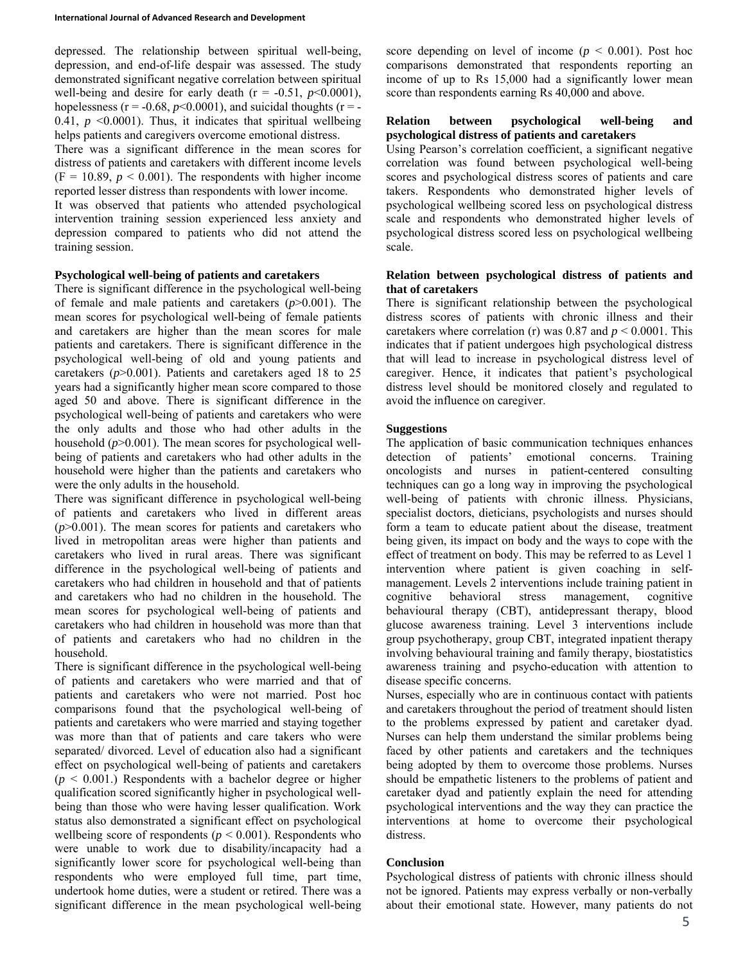depressed. The relationship between spiritual well-being, depression, and end-of-life despair was assessed. The study demonstrated significant negative correlation between spiritual well-being and desire for early death  $(r = -0.51, p<0.0001)$ , hopelessness ( $r = -0.68$ ,  $p < 0.0001$ ), and suicidal thoughts ( $r = -$ 0.41,  $p \le 0.0001$ ). Thus, it indicates that spiritual wellbeing helps patients and caregivers overcome emotional distress.

There was a significant difference in the mean scores for distress of patients and caretakers with different income levels  $(F = 10.89, p < 0.001)$ . The respondents with higher income reported lesser distress than respondents with lower income.

It was observed that patients who attended psychological intervention training session experienced less anxiety and depression compared to patients who did not attend the training session.

### **Psychological well-being of patients and caretakers**

There is significant difference in the psychological well-being of female and male patients and caretakers (*p*>0.001). The mean scores for psychological well-being of female patients and caretakers are higher than the mean scores for male patients and caretakers. There is significant difference in the psychological well-being of old and young patients and caretakers (*p*>0.001). Patients and caretakers aged 18 to 25 years had a significantly higher mean score compared to those aged 50 and above. There is significant difference in the psychological well-being of patients and caretakers who were the only adults and those who had other adults in the household ( $p$ >0.001). The mean scores for psychological wellbeing of patients and caretakers who had other adults in the household were higher than the patients and caretakers who were the only adults in the household.

There was significant difference in psychological well-being of patients and caretakers who lived in different areas  $(p>0.001)$ . The mean scores for patients and caretakers who lived in metropolitan areas were higher than patients and caretakers who lived in rural areas. There was significant difference in the psychological well-being of patients and caretakers who had children in household and that of patients and caretakers who had no children in the household. The mean scores for psychological well-being of patients and caretakers who had children in household was more than that of patients and caretakers who had no children in the household.

There is significant difference in the psychological well-being of patients and caretakers who were married and that of patients and caretakers who were not married. Post hoc comparisons found that the psychological well-being of patients and caretakers who were married and staying together was more than that of patients and care takers who were separated/ divorced. Level of education also had a significant effect on psychological well-being of patients and caretakers  $(p < 0.001)$ . Respondents with a bachelor degree or higher qualification scored significantly higher in psychological wellbeing than those who were having lesser qualification. Work status also demonstrated a significant effect on psychological wellbeing score of respondents ( $p \le 0.001$ ). Respondents who were unable to work due to disability/incapacity had a significantly lower score for psychological well-being than respondents who were employed full time, part time, undertook home duties, were a student or retired. There was a significant difference in the mean psychological well-being

score depending on level of income ( $p < 0.001$ ). Post hoc comparisons demonstrated that respondents reporting an income of up to Rs 15,000 had a significantly lower mean score than respondents earning Rs 40,000 and above.

### **Relation between psychological well-being and psychological distress of patients and caretakers**

Using Pearson's correlation coefficient, a significant negative correlation was found between psychological well-being scores and psychological distress scores of patients and care takers. Respondents who demonstrated higher levels of psychological wellbeing scored less on psychological distress scale and respondents who demonstrated higher levels of psychological distress scored less on psychological wellbeing scale.

#### **Relation between psychological distress of patients and that of caretakers**

There is significant relationship between the psychological distress scores of patients with chronic illness and their caretakers where correlation (r) was 0.87 and *p* < 0.0001. This indicates that if patient undergoes high psychological distress that will lead to increase in psychological distress level of caregiver. Hence, it indicates that patient's psychological distress level should be monitored closely and regulated to avoid the influence on caregiver.

# **Suggestions**

The application of basic communication techniques enhances detection of patients' emotional concerns. Training oncologists and nurses in patient-centered consulting techniques can go a long way in improving the psychological well-being of patients with chronic illness. Physicians, specialist doctors, dieticians, psychologists and nurses should form a team to educate patient about the disease, treatment being given, its impact on body and the ways to cope with the effect of treatment on body. This may be referred to as Level 1 intervention where patient is given coaching in selfmanagement. Levels 2 interventions include training patient in cognitive behavioral stress management, cognitive behavioural therapy (CBT), antidepressant therapy, blood glucose awareness training. Level 3 interventions include group psychotherapy, group CBT, integrated inpatient therapy involving behavioural training and family therapy, biostatistics awareness training and psycho-education with attention to disease specific concerns.

Nurses, especially who are in continuous contact with patients and caretakers throughout the period of treatment should listen to the problems expressed by patient and caretaker dyad. Nurses can help them understand the similar problems being faced by other patients and caretakers and the techniques being adopted by them to overcome those problems. Nurses should be empathetic listeners to the problems of patient and caretaker dyad and patiently explain the need for attending psychological interventions and the way they can practice the interventions at home to overcome their psychological distress.

#### **Conclusion**

Psychological distress of patients with chronic illness should not be ignored. Patients may express verbally or non-verbally about their emotional state. However, many patients do not